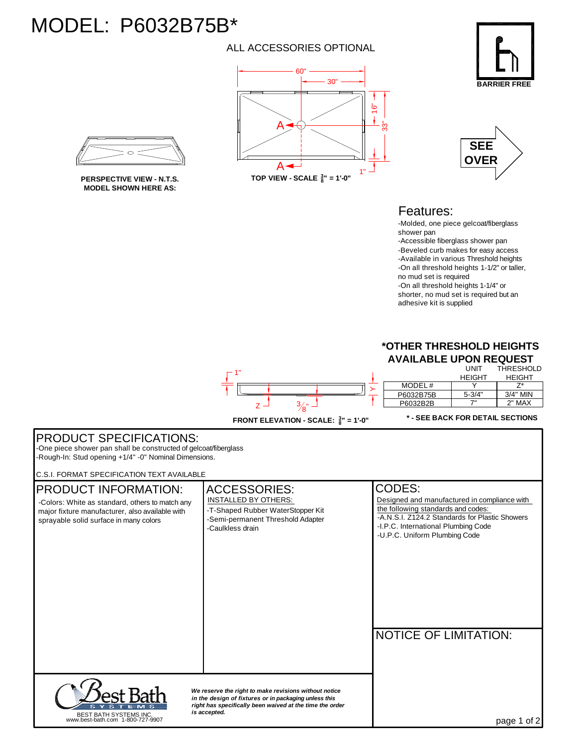## MODEL: P6032B75B\*

## ALL ACCESSORIES OPTIONAL





**MODEL SHOWN HERE AS:**





## Features:

-Molded, one piece gelcoat/fiberglass shower pan -Accessible fiberglass shower pan

-Beveled curb makes for easy access -Available in various Threshold heights -On all threshold heights 1-1/2" or taller, no mud set is required -On all threshold heights 1-1/4" or shorter, no mud set is required but an adhesive kit is supplied

## **\*OTHER THRESHOLD HEIGHTS AVAILABLE UPON REQUEST** UNIT THRESHOLD



FRONT ELEVATION - SCALE:  $\frac{3}{8}$ " = 1'-0"

**\* - SEE BACK FOR DETAIL SECTIONS**

| <b>PRODUCT SPECIFICATIONS:</b><br>-One piece shower pan shall be constructed of gelcoat/fiberglass<br>-Rough-In: Stud opening +1/4" -0" Nominal Dimensions.<br><b>C.S.I. FORMAT SPECIFICATION TEXT AVAILABLE</b> |                                                                                                                                                  |                                                                                                                                                                                                                        |
|------------------------------------------------------------------------------------------------------------------------------------------------------------------------------------------------------------------|--------------------------------------------------------------------------------------------------------------------------------------------------|------------------------------------------------------------------------------------------------------------------------------------------------------------------------------------------------------------------------|
| <b>PRODUCT INFORMATION:</b><br>-Colors: White as standard, others to match any<br>major fixture manufacturer, also available with<br>sprayable solid surface in many colors                                      | <b>ACCESSORIES:</b><br><b>INSTALLED BY OTHERS:</b><br>-T-Shaped Rubber WaterStopper Kit<br>-Semi-permanent Threshold Adapter<br>-Caulkless drain | CODES:<br>Designed and manufactured in compliance with<br>the following standards and codes:<br>-A.N.S.I. Z124.2 Standards for Plastic Showers<br>-I.P.C. International Plumbing Code<br>-U.P.C. Uniform Plumbing Code |
|                                                                                                                                                                                                                  | We reserve the right to make revisions without notice<br>in the design of fixtures or in packaging unless this                                   | <b>NOTICE OF LIMITATION:</b>                                                                                                                                                                                           |
| BEST BATH SYSTEMS INC.<br>www.best-bath.com 1-800-727-9907                                                                                                                                                       | right has specifically been waived at the time the order<br>is accepted.                                                                         | page 1 of 2                                                                                                                                                                                                            |